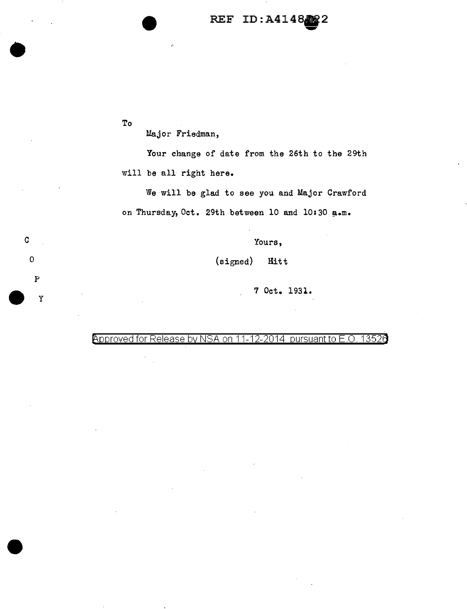## REF ID:A414882

To

p

Major Friedman,

Your change of date from the 26th to the 29th will be all right here.

We will be glad to see you and Major Crawford on Thursday, Oct. 29th between 10 and 10:30 a.m.

c  $\sim$  Yours,

0 (signed) Hitt

-y 7 Oct. 1931.

Approved for Release by NSA on 11-12-2014 pursuant to E.O. 13526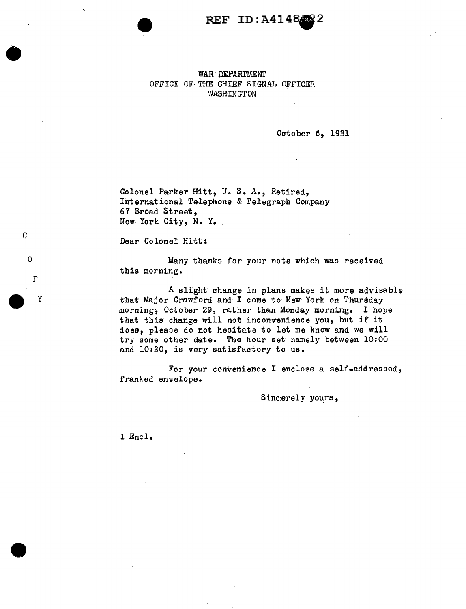REF ID:A414822 **0** 

WAR· DEPARTMENT OFFICE OF THE CHIEF SIGNAL OFFICER WASHINGTON

October 6, 1931

.,

Colonel Parker Hitt, U. s. A., Retired, International Telephone & Telegraph Company 67 Broad Street, New York City, N. Y.

Dear Colonel Hitt:

c

0

P<br>
y<br>
y

p

Many thanks for your note which was received this morning.

A slight change in plans makes it more advisable that Major Crawford and I come to New York on Thursday morning, October 29, rather than Monday morning. I hope that this change will not inconvenience you, but if it does, please do not hesitate to let me know and we will try some other date. The hour set namely between 10:00 and 10130, is very satisfactory to us.

For your convenience I enclose a self-addressed, franked envelope.

Sinc:erely yours,

l Encl.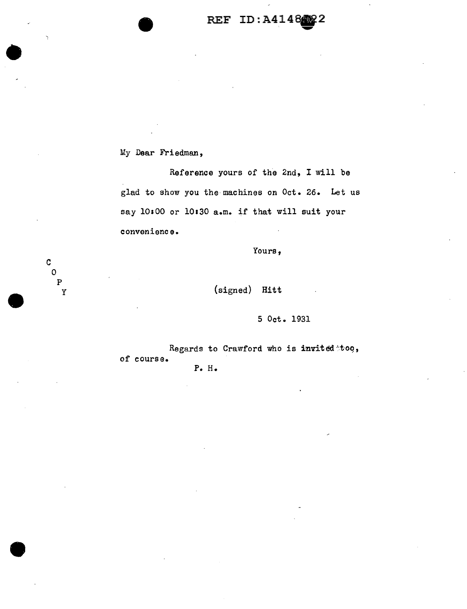## REF ID:A414882

My Dear Friedman,

c 0  $\, {\bf P}$ y

Reference yours of the 2nd, I will be glad to show you the machines on Oct. 26. Let us say 10100 or 10130 a.m. if that will suit your convenience.

Yours,

(signed) Hitt

5 Oct. 1931

Regards to Crawford who is invited too, of course. P. H.